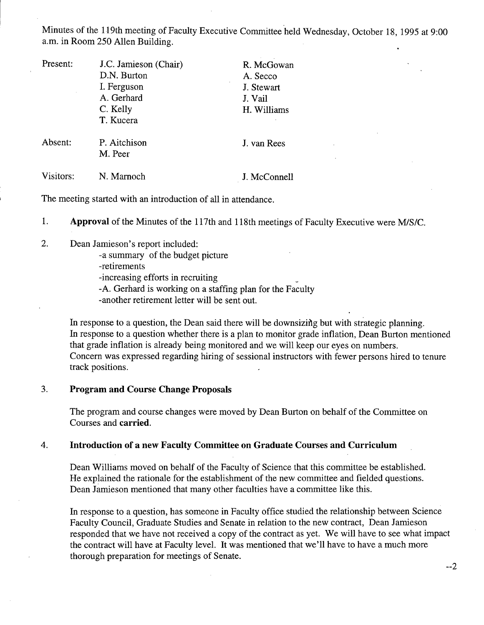Minutes of the 119th meeting of Faculty Executive Committee held Wednesday, October 18, *1995* at 9:00 a.m. in Room *250* Allen Building.

| Present:  | J.C. Jamieson (Chair) | R. McGowan   |
|-----------|-----------------------|--------------|
|           | D.N. Burton           | A. Secco     |
|           | I. Ferguson           | J. Stewart   |
|           | A. Gerhard            | J. Vail      |
|           | C. Kelly              | H. Williams  |
|           | T. Kucera             |              |
| Absent:   | P. Aitchison          | J. van Rees  |
|           | M. Peer               |              |
| Visitors: | N. Marnoch            | J. McConnell |

The meeting started with an introduction of all in attendance.

1. **Approval** of the Minutes of the 117th and 118th meetings of Faculty Executive were MIS/C.

2. Dean Jamieson's report included:

-a summary of the budget picture

-retirements

-increasing efforts in recruiting

-A. Gerhard is working on a staffing plan for the Faculty

-another retirement letter will be sent out.

In response to a question, the Dean said there will be downsizing but with strategic planning. In response to a question whether there is a plan to monitor grade inflation, Dean Burton mentioned that grade inflation is already being monitored and we will keep our eyes on numbers. Concern was expressed regarding hiring of sessional instructors with fewer persons hired to tenure track positions.

#### 3. **Program and Course Change Proposals**

The program and course changes were moved by Dean Burton on behalf of the Committee on Courses and **carried.** 

#### **Introduction of a new Faculty Committee on Graduate Courses and Curriculum**   $\overline{4}$ .

Dean Williams moved on behalf of the Faculty of Science that this committee be established. He explained the rationale for the establishment of the new committee and fielded questions. Dean Jamieson mentioned that many other faculties have a committee like this.

In response to a question, has someone in Faculty office studied the relationship between Science Faculty Council, Graduate Studies and Senate in relation to the new contract, Dean Jamieson responded that we have not received a copy of the contract as yet. We will have to see what impact the contract will have at Faculty level. It was mentioned that we'll have to have a much more thorough preparation for meetings of Senate.

--2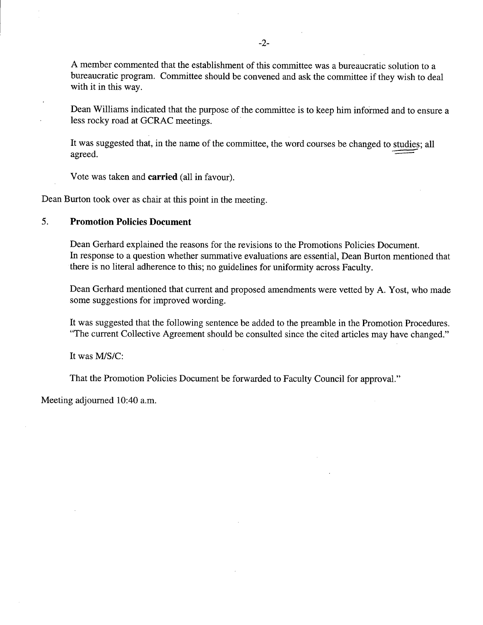A member commented that the establishment of this committee was a bureaucratic solution to a bureaucratic program. Committee should be convened and ask the committee if they wish to deal with it in this way.

Dean Williams indicated that the purpose of the committee is to keep him informed and to ensure a less rocky road at GCRAC meetings.

It was suggested that, in the name of the committee, the word courses be changed to studies; all agreed.

Vote was taken and **carried** (all in favour).

Dean Burton took over as chair at this point in the meeting.

# *5.* **Promotion Policies Document**

Dean Gerhard explained the reasons for the revisions to the Promotions Policies Document. In response to a question whether summative evaluations are essential, Dean Burton mentioned that there is no literal adherence to this; no guidelines for uniformity across Faculty.

Dean Gerhard mentioned that current and proposed amendments were vetted by A. Yost, who made some suggestions for improved wording.

It was suggested that the following sentence be added to the preamble in the Promotion Procedures. "The current Collective Agreement should be consulted since the cited articles may have changed."

It was M/S/C:

That the Promotion Policies Document be forwarded to Faculty Council for approval."

Meeting adjourned 10:40 a.m.